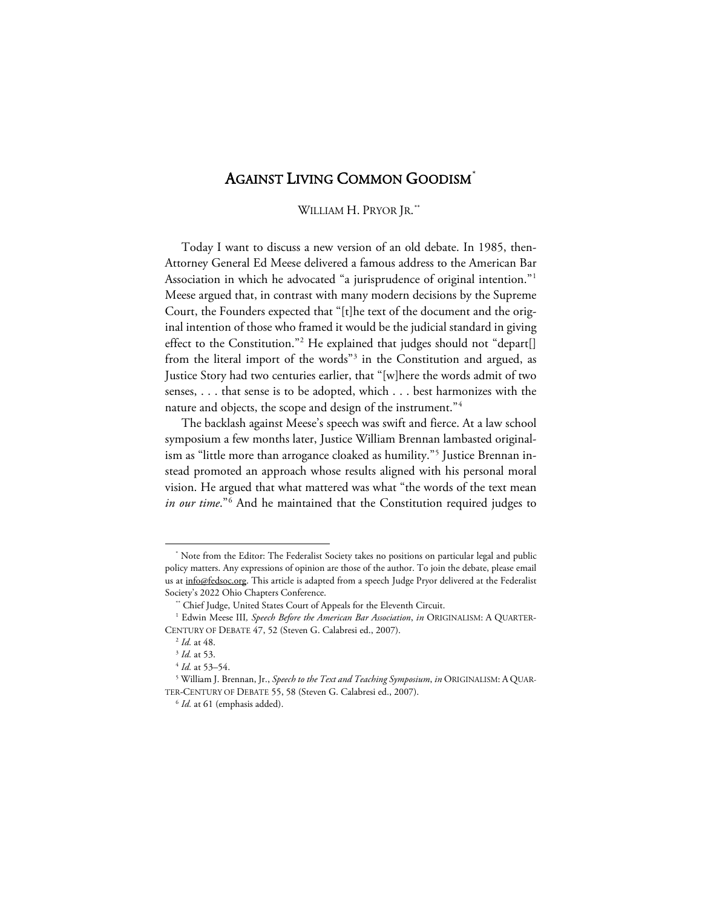## AGAINST LIVING COMMON GOODISM<sup>[\\*](#page-0-0)</sup>

## WILLIAM H. PRYOR JR.[\\*\\*](#page-0-1)

Today I want to discuss a new version of an old debate. In 1985, then-Attorney General Ed Meese delivered a famous address to the American Bar Association in which he advocated "a jurisprudence of original intention."[1](#page-0-2) Meese argued that, in contrast with many modern decisions by the Supreme Court, the Founders expected that "[t]he text of the document and the original intention of those who framed it would be the judicial standard in giving effect to the Constitution."<sup>[2](#page-0-3)</sup> He explained that judges should not "depart[] from the literal import of the words"<sup>3</sup> in the Constitution and argued, as Justice Story had two centuries earlier, that "[w]here the words admit of two senses, . . . that sense is to be adopted, which . . . best harmonizes with the nature and objects, the scope and design of the instrument."[4](#page-0-5)

The backlash against Meese's speech was swift and fierce. At a law school symposium a few months later, Justice William Brennan lambasted originalism as "little more than arrogance cloaked as humility."[5](#page-0-6) Justice Brennan instead promoted an approach whose results aligned with his personal moral vision. He argued that what mattered was what "the words of the text mean *in our time*."[6](#page-0-7) And he maintained that the Constitution required judges to

<span id="page-0-0"></span><sup>\*</sup> Note from the Editor: The Federalist Society takes no positions on particular legal and public policy matters. Any expressions of opinion are those of the author. To join the debate, please email us at info@fedsoc.org. This article is adapted from a speech Judge Pryor delivered at the Federalist Society's 2022 Ohio Chapters Conference.<br>\*\* Chief Judge, United States Court of Appeals for the Eleventh Circuit.

<span id="page-0-3"></span><span id="page-0-2"></span><span id="page-0-1"></span><sup>&</sup>lt;sup>1</sup> Edwin Meese III, Speech Before the American Bar Association, in ORIGINALISM: A QUARTER-CENTURY OF DEBATE 47, 52 (Steven G. Calabresi ed., 2007).

<sup>2</sup> *Id.* at 48.

<sup>3</sup> *Id.* at 53.

<sup>4</sup> *Id.* at 53–54.

<span id="page-0-7"></span><span id="page-0-6"></span><span id="page-0-5"></span><span id="page-0-4"></span><sup>5</sup> William J. Brennan, Jr., *Speech to the Text and Teaching Symposium*, *in* ORIGINALISM: A QUAR-TER-CENTURY OF DEBATE 55, 58 (Steven G. Calabresi ed., 2007).

<sup>6</sup> *Id.* at 61 (emphasis added).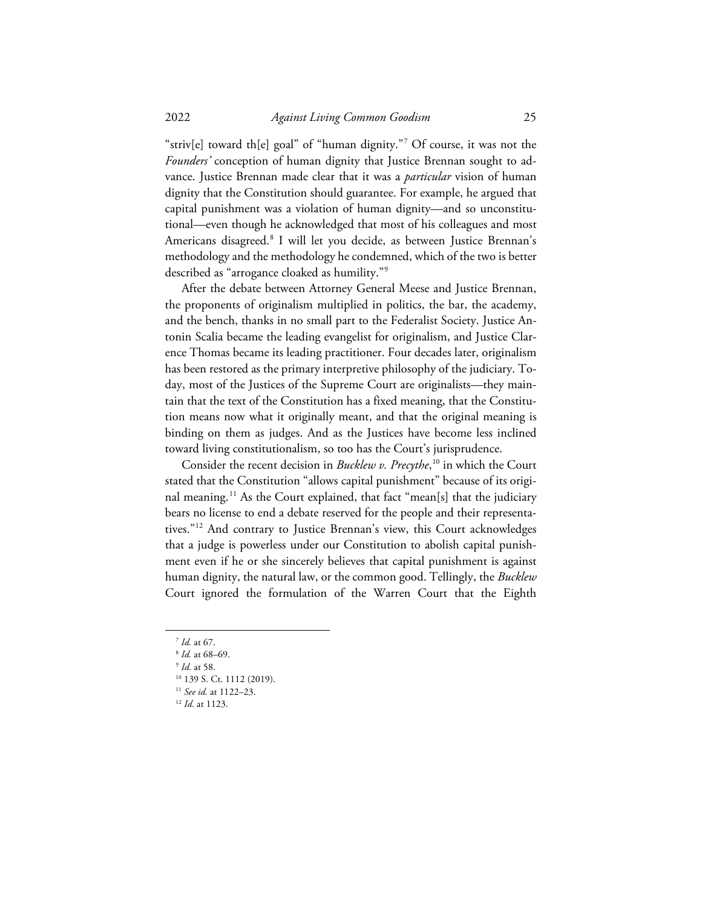"striv[e] toward th[e] goal" of "human dignity."[7](#page-1-0) Of course, it was not the *Founders'* conception of human dignity that Justice Brennan sought to advance. Justice Brennan made clear that it was a *particular* vision of human dignity that the Constitution should guarantee. For example, he argued that capital punishment was a violation of human dignity—and so unconstitutional—even though he acknowledged that most of his colleagues and most Americans disagreed.[8](#page-1-1) I will let you decide, as between Justice Brennan's methodology and the methodology he condemned, which of the two is better described as "arrogance cloaked as humility.["9](#page-1-2)

After the debate between Attorney General Meese and Justice Brennan, the proponents of originalism multiplied in politics, the bar, the academy, and the bench, thanks in no small part to the Federalist Society. Justice Antonin Scalia became the leading evangelist for originalism, and Justice Clarence Thomas became its leading practitioner. Four decades later, originalism has been restored as the primary interpretive philosophy of the judiciary. Today, most of the Justices of the Supreme Court are originalists—they maintain that the text of the Constitution has a fixed meaning, that the Constitution means now what it originally meant, and that the original meaning is binding on them as judges. And as the Justices have become less inclined toward living constitutionalism, so too has the Court's jurisprudence.

Consider the recent decision in *Bucklew v. Precythe*, [10](#page-1-3) in which the Court stated that the Constitution "allows capital punishment" because of its origi-nal meaning.<sup>[11](#page-1-4)</sup> As the Court explained, that fact "mean[s] that the judiciary bears no license to end a debate reserved for the people and their representatives."[12](#page-1-5) And contrary to Justice Brennan's view, this Court acknowledges that a judge is powerless under our Constitution to abolish capital punishment even if he or she sincerely believes that capital punishment is against human dignity, the natural law, or the common good. Tellingly, the *Bucklew* Court ignored the formulation of the Warren Court that the Eighth

<sup>10</sup> 139 S. Ct. 1112 (2019).

<sup>7</sup> *Id.* at 67.

<span id="page-1-0"></span><sup>8</sup> *Id.* at 68–69.

<span id="page-1-4"></span><span id="page-1-3"></span><span id="page-1-2"></span><span id="page-1-1"></span><sup>9</sup> *Id.* at 58.

<sup>11</sup> *See id.* at 1122–23.

<span id="page-1-5"></span><sup>12</sup> *Id.* at 1123.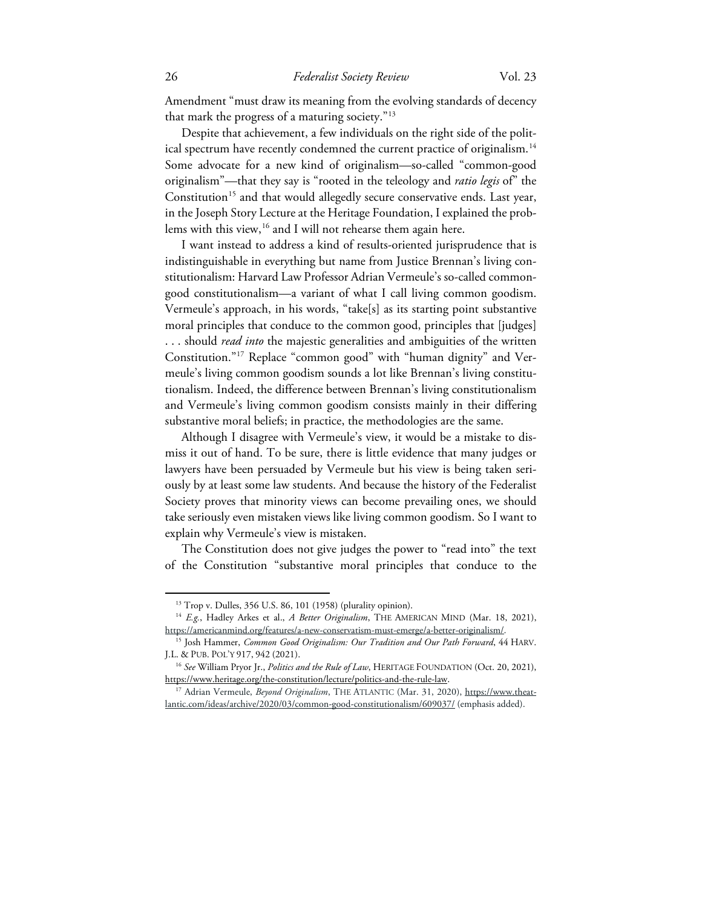Amendment "must draw its meaning from the evolving standards of decency that mark the progress of a maturing society."[13](#page-2-0)

Despite that achievement, a few individuals on the right side of the polit-ical spectrum have recently condemned the current practice of originalism.<sup>[14](#page-2-1)</sup> Some advocate for a new kind of originalism—so-called "common-good originalism"—that they say is "rooted in the teleology and *ratio legis* of" the Constitution<sup>[15](#page-2-2)</sup> and that would allegedly secure conservative ends. Last year, in the Joseph Story Lecture at the Heritage Foundation, I explained the prob-lems with this view,<sup>[16](#page-2-3)</sup> and I will not rehearse them again here.

I want instead to address a kind of results-oriented jurisprudence that is indistinguishable in everything but name from Justice Brennan's living constitutionalism: Harvard Law Professor Adrian Vermeule's so-called commongood constitutionalism—a variant of what I call living common goodism. Vermeule's approach, in his words, "take[s] as its starting point substantive moral principles that conduce to the common good, principles that [judges] . . . should *read into* the majestic generalities and ambiguities of the written Constitution."[17](#page-2-4) Replace "common good" with "human dignity" and Vermeule's living common goodism sounds a lot like Brennan's living constitutionalism. Indeed, the difference between Brennan's living constitutionalism and Vermeule's living common goodism consists mainly in their differing substantive moral beliefs; in practice, the methodologies are the same.

Although I disagree with Vermeule's view, it would be a mistake to dismiss it out of hand. To be sure, there is little evidence that many judges or lawyers have been persuaded by Vermeule but his view is being taken seriously by at least some law students. And because the history of the Federalist Society proves that minority views can become prevailing ones, we should take seriously even mistaken views like living common goodism. So I want to explain why Vermeule's view is mistaken.

The Constitution does not give judges the power to "read into" the text of the Constitution "substantive moral principles that conduce to the

<sup>13</sup> Trop v. Dulles, 356 U.S. 86, 101 (1958) (plurality opinion).

<span id="page-2-1"></span><span id="page-2-0"></span><sup>14</sup> *E.g.*, Hadley Arkes et al., *A Better Originalism*, THE AMERICAN MIND (Mar. 18, 2021), https://americanmind.org/features/a-new-conservatism-must-emerge/a-better-originalism/.

<span id="page-2-2"></span><sup>15</sup> Josh Hammer, *Common Good Originalism: Our Tradition and Our Path Forward*, 44 HARV. J.L. & PUB. POL'Y 917, 942 (2021).

<span id="page-2-3"></span><sup>16</sup> *See* William Pryor Jr., *Politics and the Rule of Law*, HERITAGE FOUNDATION (Oct. 20, 2021), https://www.heritage.org/the-constitution/lecture/politics-and-the-rule-law. 17 Adrian Vermeule, *Beyond Originalism*, THE ATLANTIC (Mar. 31, 2020), https://www.theat-

<span id="page-2-4"></span>lantic.com/ideas/archive/2020/03/common-good-constitutionalism/609037/ (emphasis added).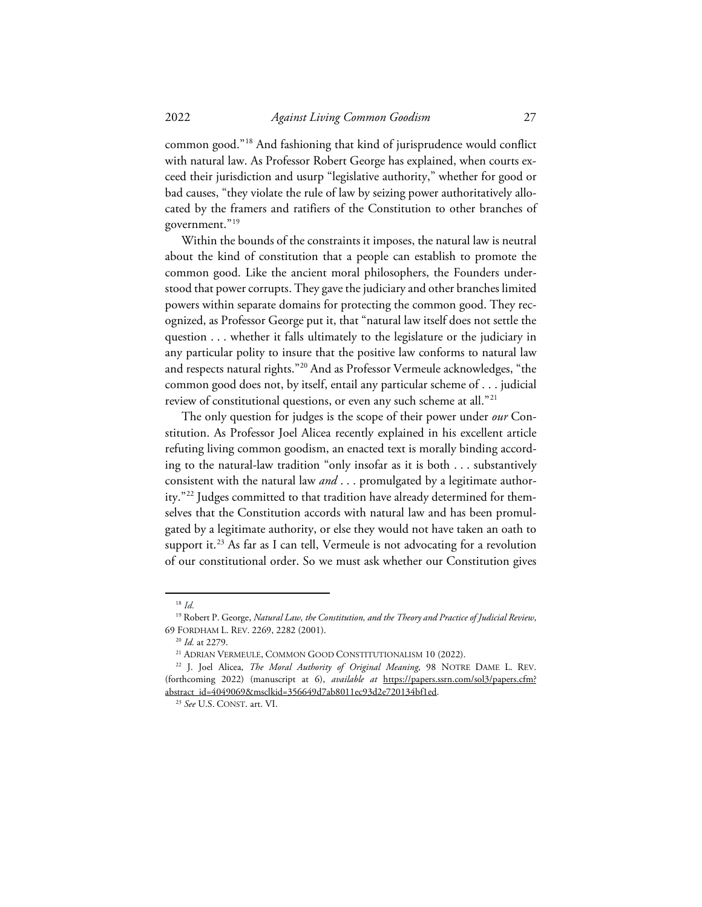common good."[18](#page-3-0) And fashioning that kind of jurisprudence would conflict with natural law. As Professor Robert George has explained, when courts exceed their jurisdiction and usurp "legislative authority," whether for good or bad causes, "they violate the rule of law by seizing power authoritatively allocated by the framers and ratifiers of the Constitution to other branches of government."[19](#page-3-1)

Within the bounds of the constraints it imposes, the natural law is neutral about the kind of constitution that a people can establish to promote the common good. Like the ancient moral philosophers, the Founders understood that power corrupts. They gave the judiciary and other branches limited powers within separate domains for protecting the common good. They recognized, as Professor George put it, that "natural law itself does not settle the question . . . whether it falls ultimately to the legislature or the judiciary in any particular polity to insure that the positive law conforms to natural law and respects natural rights."[20](#page-3-2) And as Professor Vermeule acknowledges, "the common good does not, by itself, entail any particular scheme of . . . judicial review of constitutional questions, or even any such scheme at all."[21](#page-3-3)

The only question for judges is the scope of their power under *our* Constitution. As Professor Joel Alicea recently explained in his excellent article refuting living common goodism, an enacted text is morally binding according to the natural-law tradition "only insofar as it is both . . . substantively consistent with the natural law *and* . . . promulgated by a legitimate authority."[22](#page-3-4) Judges committed to that tradition have already determined for themselves that the Constitution accords with natural law and has been promulgated by a legitimate authority, or else they would not have taken an oath to support it.<sup>[23](#page-3-5)</sup> As far as I can tell, Vermeule is not advocating for a revolution of our constitutional order. So we must ask whether our Constitution gives

<sup>18</sup> *Id.*

<span id="page-3-2"></span><span id="page-3-1"></span><span id="page-3-0"></span><sup>19</sup> Robert P. George, *Natural Law, the Constitution, and the Theory and Practice of Judicial Review*, 69 FORDHAM L. REV. 2269, 2282 (2001).

<sup>&</sup>lt;sup>20</sup> *Id.* at 2279.<br><sup>21</sup> ADRIAN VERMEULE, COMMON GOOD CONSTITUTIONALISM 10 (2022).

<span id="page-3-5"></span><span id="page-3-4"></span><span id="page-3-3"></span><sup>22</sup> J. Joel Alicea, *The Moral Authority of Original Meaning*, 98 NOTRE DAME L. REV. (forthcoming 2022) (manuscript at 6), *available at* https://papers.ssrn.com/sol3/papers.cfm? abstract\_id=4049069&msclkid=356649d7ab8011ec93d2e720134bf1ed. 23 *See* U.S. CONST. art. VI.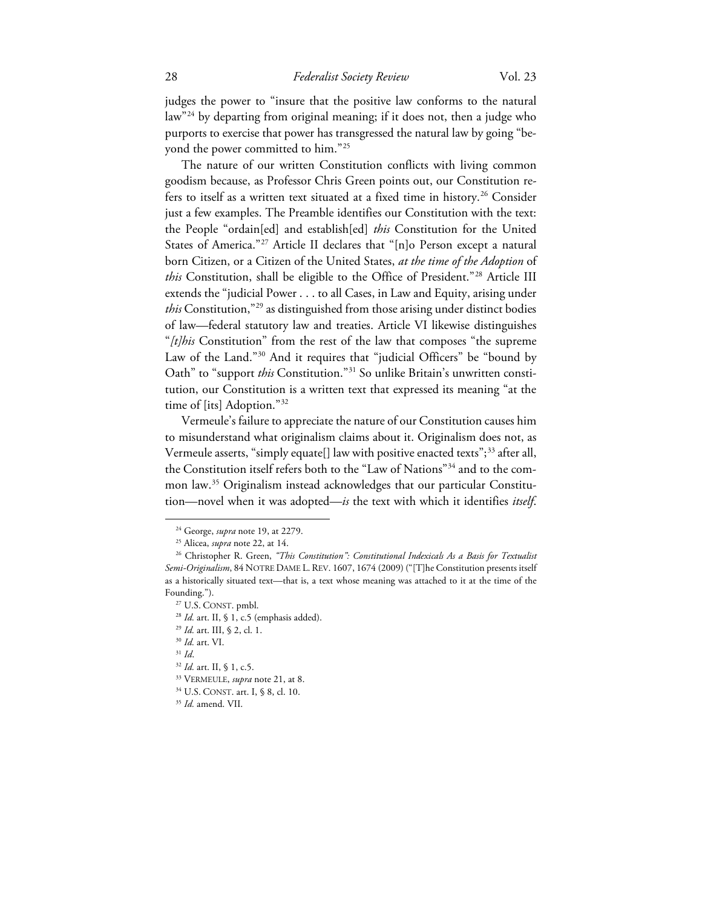judges the power to "insure that the positive law conforms to the natural law"[24](#page-4-0) by departing from original meaning; if it does not, then a judge who purports to exercise that power has transgressed the natural law by going "beyond the power committed to him."[25](#page-4-1)

The nature of our written Constitution conflicts with living common goodism because, as Professor Chris Green points out, our Constitution re-fers to itself as a written text situated at a fixed time in history.<sup>[26](#page-4-2)</sup> Consider just a few examples. The Preamble identifies our Constitution with the text: the People "ordain[ed] and establish[ed] *this* Constitution for the United States of America."<sup>[27](#page-4-3)</sup> Article II declares that "[n]o Person except a natural born Citizen, or a Citizen of the United States, *at the time of the Adoption* of *this* Constitution, shall be eligible to the Office of President.["28](#page-4-4) Article III extends the "judicial Power . . . to all Cases, in Law and Equity, arising under *this* Constitution,"<sup>[29](#page-4-5)</sup> as distinguished from those arising under distinct bodies of law—federal statutory law and treaties. Article VI likewise distinguishes "*[t]his* Constitution" from the rest of the law that composes "the supreme Law of the Land."<sup>[30](#page-4-6)</sup> And it requires that "judicial Officers" be "bound by Oath" to "support *this* Constitution."<sup>[31](#page-4-7)</sup> So unlike Britain's unwritten constitution, our Constitution is a written text that expressed its meaning "at the time of [its] Adoption."[32](#page-4-8)

Vermeule's failure to appreciate the nature of our Constitution causes him to misunderstand what originalism claims about it. Originalism does not, as Vermeule asserts, "simply equate[] law with positive enacted texts";<sup>[33](#page-4-9)</sup> after all, the Constitution itself refers both to the "Law of Nations"[34](#page-4-10) and to the common law.[35](#page-4-11) Originalism instead acknowledges that our particular Constitution—novel when it was adopted—*is* the text with which it identifies *itself*.

<sup>24</sup> George, *supra* note 19, at 2279.

<sup>25</sup> Alicea, *supra* note 22, at 14.

<span id="page-4-3"></span><span id="page-4-2"></span><span id="page-4-1"></span><span id="page-4-0"></span><sup>&</sup>lt;sup>26</sup> Christopher R. Green, "This Constitution": Constitutional Indexicals As a Basis for Textualist *Semi-Originalism*, 84 NOTRE DAME L. REV. 1607, 1674 (2009) ("[T]he Constitution presents itself as a historically situated text—that is, a text whose meaning was attached to it at the time of the Founding.").

<span id="page-4-4"></span><sup>&</sup>lt;sup>27</sup> U.S. CONST. pmbl.

<sup>&</sup>lt;sup>28</sup> *Id.* art. II, § 1, c.5 (emphasis added).

<span id="page-4-5"></span><sup>29</sup> *Id.* art. III, § 2, cl. 1.

<span id="page-4-6"></span><sup>30</sup> *Id.* art. VI.

<span id="page-4-8"></span><span id="page-4-7"></span><sup>31</sup> *Id*. 32 *Id.* art. II, § 1, c.5.

<span id="page-4-9"></span><sup>33</sup> VERMEULE, *supra* note 21, at 8.

<span id="page-4-10"></span><sup>34</sup> U.S. CONST. art. I, § 8, cl. 10.

<span id="page-4-11"></span><sup>35</sup> *Id.* amend. VII.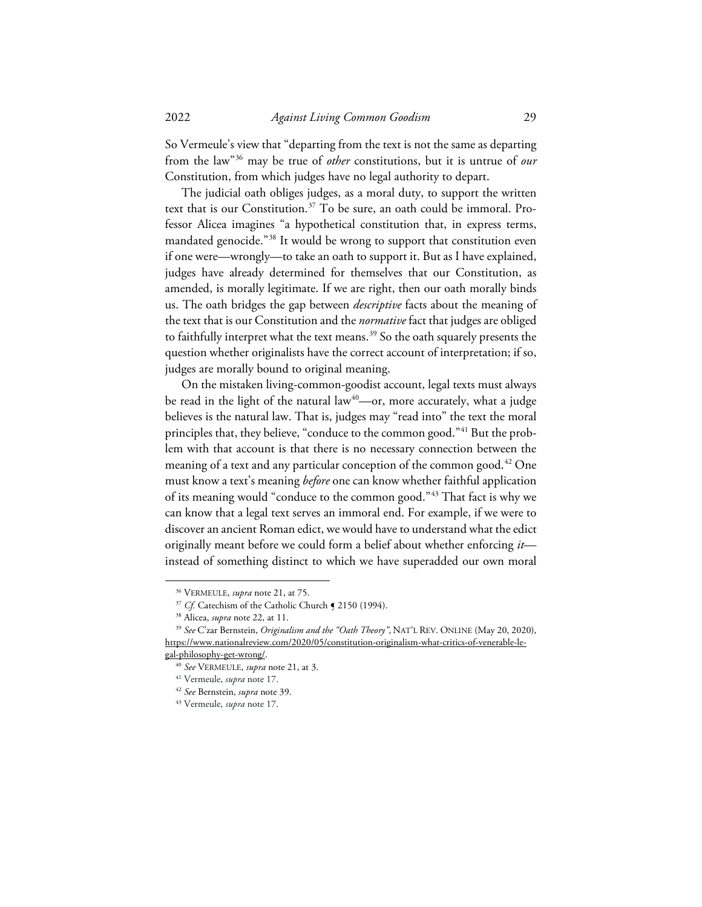So Vermeule's view that "departing from the text is not the same as departing from the law"[36](#page-5-0) may be true of *other* constitutions, but it is untrue of *our* Constitution, from which judges have no legal authority to depart.

The judicial oath obliges judges, as a moral duty, to support the written text that is our Constitution.<sup>[37](#page-5-1)</sup> To be sure, an oath could be immoral. Professor Alicea imagines "a hypothetical constitution that, in express terms, mandated genocide."[38](#page-5-2) It would be wrong to support that constitution even if one were—wrongly—to take an oath to support it. But as I have explained, judges have already determined for themselves that our Constitution, as amended, is morally legitimate. If we are right, then our oath morally binds us. The oath bridges the gap between *descriptive* facts about the meaning of the text that is our Constitution and the *normative* fact that judges are obliged to faithfully interpret what the text means.<sup>[39](#page-5-3)</sup> So the oath squarely presents the question whether originalists have the correct account of interpretation; if so, judges are morally bound to original meaning.

On the mistaken living-common-goodist account, legal texts must always be read in the light of the natural law $40$ —or, more accurately, what a judge believes is the natural law. That is, judges may "read into" the text the moral principles that, they believe, "conduce to the common good."<sup>[41](#page-5-5)</sup> But the problem with that account is that there is no necessary connection between the meaning of a text and any particular conception of the common good.<sup>[42](#page-5-6)</sup> One must know a text's meaning *before* one can know whether faithful application of its meaning would "conduce to the common good."[43](#page-5-7) That fact is why we can know that a legal text serves an immoral end. For example, if we were to discover an ancient Roman edict, we would have to understand what the edict originally meant before we could form a belief about whether enforcing *it* instead of something distinct to which we have superadded our own moral

<sup>36</sup> VERMEULE, *supra* note 21, at 75.

<sup>&</sup>lt;sup>37</sup> *Cf.* Catechism of the Catholic Church **[** 2150 (1994).

<sup>38</sup> Alicea, *supra* note 22, at 11.

<span id="page-5-3"></span><span id="page-5-2"></span><span id="page-5-1"></span><span id="page-5-0"></span><sup>39</sup> *See* C'zar Bernstein, *Originalism and the "Oath Theory"*, NAT'L REV. ONLINE (May 20, 2020), https://www.nationalreview.com/2020/05/constitution-originalism-what-critics-of-venerable-le-

<span id="page-5-7"></span><span id="page-5-6"></span><span id="page-5-5"></span><span id="page-5-4"></span>gal-philosophy-get-wrong/. 40 *See* VERMEULE, *supra* note 21, at 3.

<sup>41</sup> Vermeule, *supra* note 17.

<sup>42</sup> *See* Bernstein, *supra* note 39.

<sup>43</sup> Vermeule, *supra* note 17.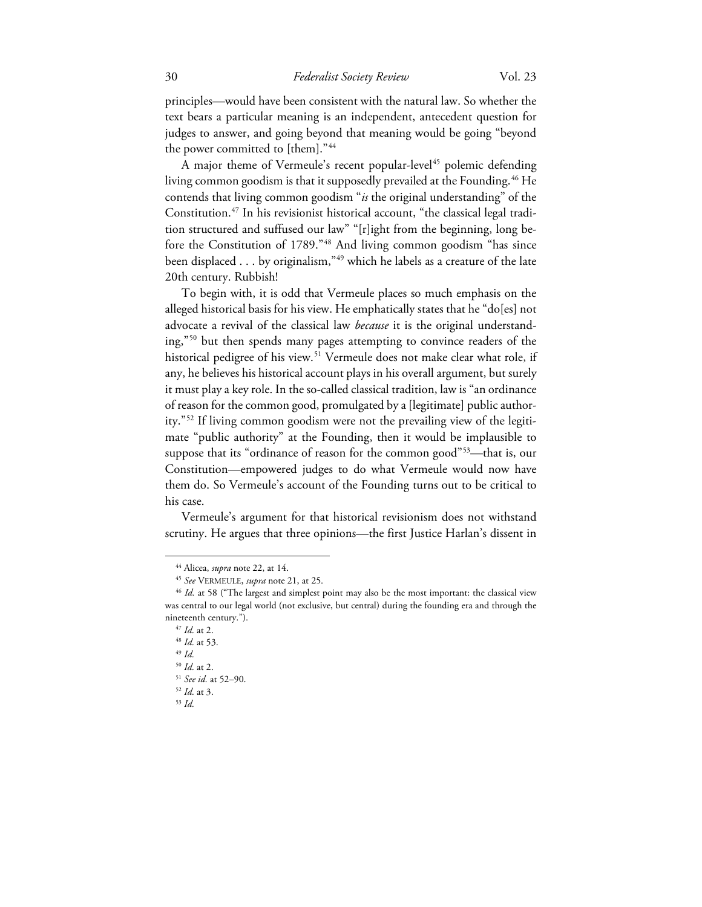principles—would have been consistent with the natural law. So whether the text bears a particular meaning is an independent, antecedent question for judges to answer, and going beyond that meaning would be going "beyond the power committed to [them]."<sup>[44](#page-6-0)</sup>

A major theme of Vermeule's recent popular-level<sup>[45](#page-6-1)</sup> polemic defending living common goodism is that it supposedly prevailed at the Founding.<sup>[46](#page-6-2)</sup> He contends that living common goodism "*is* the original understanding" of the Constitution.[47](#page-6-3) In his revisionist historical account, "the classical legal tradition structured and suffused our law" "[r]ight from the beginning, long before the Constitution of 1789."[48](#page-6-4) And living common goodism "has since been displaced . . . by originalism,"[49](#page-6-5) which he labels as a creature of the late 20th century. Rubbish!

To begin with, it is odd that Vermeule places so much emphasis on the alleged historical basis for his view. He emphatically states that he "do[es] not advocate a revival of the classical law *because* it is the original understanding,"[50](#page-6-6) but then spends many pages attempting to convince readers of the historical pedigree of his view.<sup>[51](#page-6-7)</sup> Vermeule does not make clear what role, if any, he believes his historical account plays in his overall argument, but surely it must play a key role. In the so-called classical tradition, law is "an ordinance of reason for the common good, promulgated by a [legitimate] public authority."[52](#page-6-8) If living common goodism were not the prevailing view of the legitimate "public authority" at the Founding, then it would be implausible to suppose that its "ordinance of reason for the common good"<sup>[53](#page-6-9)</sup>—that is, our Constitution—empowered judges to do what Vermeule would now have them do. So Vermeule's account of the Founding turns out to be critical to his case.

Vermeule's argument for that historical revisionism does not withstand scrutiny. He argues that three opinions—the first Justice Harlan's dissent in

<sup>44</sup> Alicea, *supra* note 22, at 14.

<sup>45</sup> *See* VERMEULE, *supra* note 21, at 25.

<span id="page-6-4"></span><span id="page-6-3"></span><span id="page-6-2"></span><span id="page-6-1"></span><span id="page-6-0"></span><sup>&</sup>lt;sup>46</sup> *Id.* at 58 ("The largest and simplest point may also be the most important: the classical view was central to our legal world (not exclusive, but central) during the founding era and through the nineteenth century.").

<sup>47</sup> *Id.* at 2.

<sup>48</sup> *Id.* at 53.

<span id="page-6-5"></span><sup>49</sup> *Id.*

<sup>50</sup> *Id.* at 2.

<sup>51</sup> *See id.* at 52–90.

<span id="page-6-9"></span><span id="page-6-8"></span><span id="page-6-7"></span><span id="page-6-6"></span><sup>52</sup> *Id.* at 3.

<sup>53</sup> *Id.*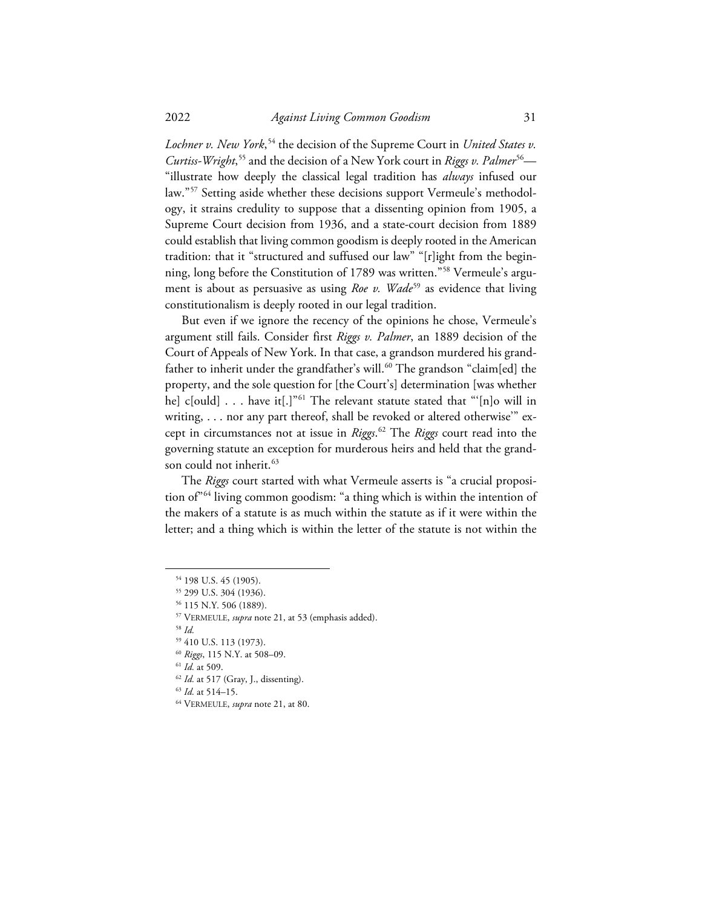Lochner v. New York,<sup>[54](#page-7-0)</sup> the decision of the Supreme Court in *United States v*. Curtiss-Wright,<sup>[55](#page-7-1)</sup> and the decision of a New York court in *Riggs v. Palmer<sup>56</sup>—* "illustrate how deeply the classical legal tradition has *always* infused our law."[57](#page-7-3) Setting aside whether these decisions support Vermeule's methodology, it strains credulity to suppose that a dissenting opinion from 1905, a Supreme Court decision from 1936, and a state-court decision from 1889 could establish that living common goodism is deeply rooted in the American tradition: that it "structured and suffused our law" "[r]ight from the beginning, long before the Constitution of 1789 was written."[58](#page-7-4) Vermeule's argument is about as persuasive as using *Roe v. Wade<sup>[59](#page-7-5)</sup>* as evidence that living constitutionalism is deeply rooted in our legal tradition.

But even if we ignore the recency of the opinions he chose, Vermeule's argument still fails. Consider first *Riggs v. Palmer*, an 1889 decision of the Court of Appeals of New York. In that case, a grandson murdered his grand-father to inherit under the grandfather's will.<sup>[60](#page-7-6)</sup> The grandson "claim[ed] the property, and the sole question for [the Court's] determination [was whether he] c[ould]  $\ldots$  have it[.]"<sup>[61](#page-7-7)</sup> The relevant statute stated that "'[n]o will in writing, . . . nor any part thereof, shall be revoked or altered otherwise" except in circumstances not at issue in *Riggs*. [62](#page-7-8) The *Riggs* court read into the governing statute an exception for murderous heirs and held that the grand-son could not inherit.<sup>[63](#page-7-9)</sup>

The *Riggs* court started with what Vermeule asserts is "a crucial proposition of"[64](#page-7-10) living common goodism: "a thing which is within the intention of the makers of a statute is as much within the statute as if it were within the letter; and a thing which is within the letter of the statute is not within the

<span id="page-7-4"></span><sup>58</sup> *Id.*

<sup>54</sup> 198 U.S. 45 (1905).

<span id="page-7-1"></span><span id="page-7-0"></span><sup>55</sup> 299 U.S. 304 (1936).

<span id="page-7-3"></span><span id="page-7-2"></span><sup>56</sup> 115 N.Y. 506 (1889).

<sup>57</sup> VERMEULE, *supra* note 21, at 53 (emphasis added).

<span id="page-7-5"></span><sup>59</sup> 410 U.S. 113 (1973).

<span id="page-7-6"></span><sup>60</sup> *Riggs*, 115 N.Y. at 508–09.

<sup>61</sup> *Id.* at 509.

<span id="page-7-8"></span><span id="page-7-7"></span><sup>62</sup> *Id.* at 517 (Gray, J., dissenting).

<span id="page-7-10"></span><span id="page-7-9"></span><sup>63</sup> *Id.* at 514–15. 64 VERMEULE, *supra* note 21, at 80.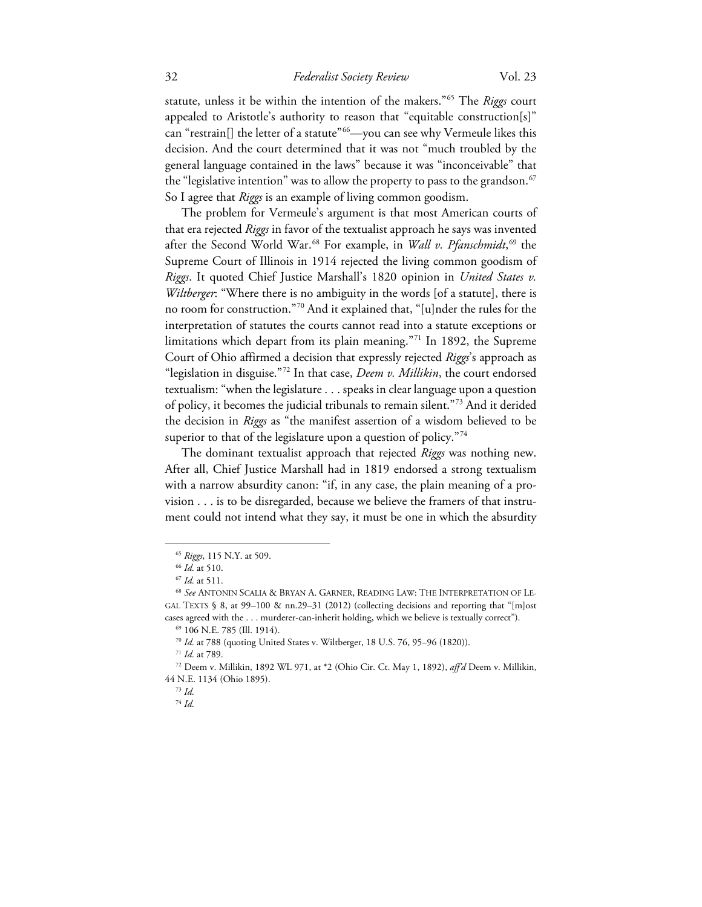## 32 *Federalist Society Review* Vol. 23

statute, unless it be within the intention of the makers."[65](#page-8-0) The *Riggs* court appealed to Aristotle's authority to reason that "equitable construction[s]" can "restrain[] the letter of a statute"<sup>[66](#page-8-1)</sup>—you can see why Vermeule likes this decision. And the court determined that it was not "much troubled by the general language contained in the laws" because it was "inconceivable" that the "legislative intention" was to allow the property to pass to the grandson. $67$ So I agree that *Riggs* is an example of living common goodism.

The problem for Vermeule's argument is that most American courts of that era rejected *Riggs* in favor of the textualist approach he says was invented after the Second World War.[68](#page-8-3) For example, in *Wall v. Pfanschmidt*, [69](#page-8-4) the Supreme Court of Illinois in 1914 rejected the living common goodism of *Riggs*. It quoted Chief Justice Marshall's 1820 opinion in *United States v. Wiltberger*: "Where there is no ambiguity in the words [of a statute], there is no room for construction."[70](#page-8-5) And it explained that, "[u]nder the rules for the interpretation of statutes the courts cannot read into a statute exceptions or limitations which depart from its plain meaning."[71](#page-8-6) In 1892, the Supreme Court of Ohio affirmed a decision that expressly rejected *Riggs*'s approach as "legislation in disguise."[72](#page-8-7) In that case, *Deem v. Millikin*, the court endorsed textualism: "when the legislature . . . speaks in clear language upon a question of policy, it becomes the judicial tribunals to remain silent."[73](#page-8-8) And it derided the decision in *Riggs* as "the manifest assertion of a wisdom believed to be superior to that of the legislature upon a question of policy. $\frac{n}{4}$ 

The dominant textualist approach that rejected *Riggs* was nothing new. After all, Chief Justice Marshall had in 1819 endorsed a strong textualism with a narrow absurdity canon: "if, in any case, the plain meaning of a provision . . . is to be disregarded, because we believe the framers of that instrument could not intend what they say, it must be one in which the absurdity

<sup>65</sup> *Riggs*, 115 N.Y. at 509.

<sup>66</sup> *Id.* at 510.

<sup>67</sup> *Id.* at 511.

<span id="page-8-3"></span><span id="page-8-2"></span><span id="page-8-1"></span><span id="page-8-0"></span><sup>68</sup> *See* ANTONIN SCALIA & BRYAN A. GARNER, READING LAW: THE INTERPRETATION OF LE-GAL TEXTS § 8, at 99–100 & nn.29–31 (2012) (collecting decisions and reporting that "[m]ost cases agreed with the . . . murderer-can-inherit holding, which we believe is textually correct").

<sup>69</sup> 106 N.E. 785 (Ill. 1914).

<sup>70</sup> *Id.* at 788 (quoting United States v. Wiltberger, 18 U.S. 76, 95–96 (1820)).

<sup>71</sup> *Id.* at 789.

<span id="page-8-9"></span><span id="page-8-8"></span><span id="page-8-7"></span><span id="page-8-6"></span><span id="page-8-5"></span><span id="page-8-4"></span><sup>72</sup> Deem v. Millikin, 1892 WL 971, at \*2 (Ohio Cir. Ct. May 1, 1892), *aff'd* Deem v. Millikin, 44 N.E. 1134 (Ohio 1895).

<sup>73</sup> *Id.*

<sup>74</sup> *Id.*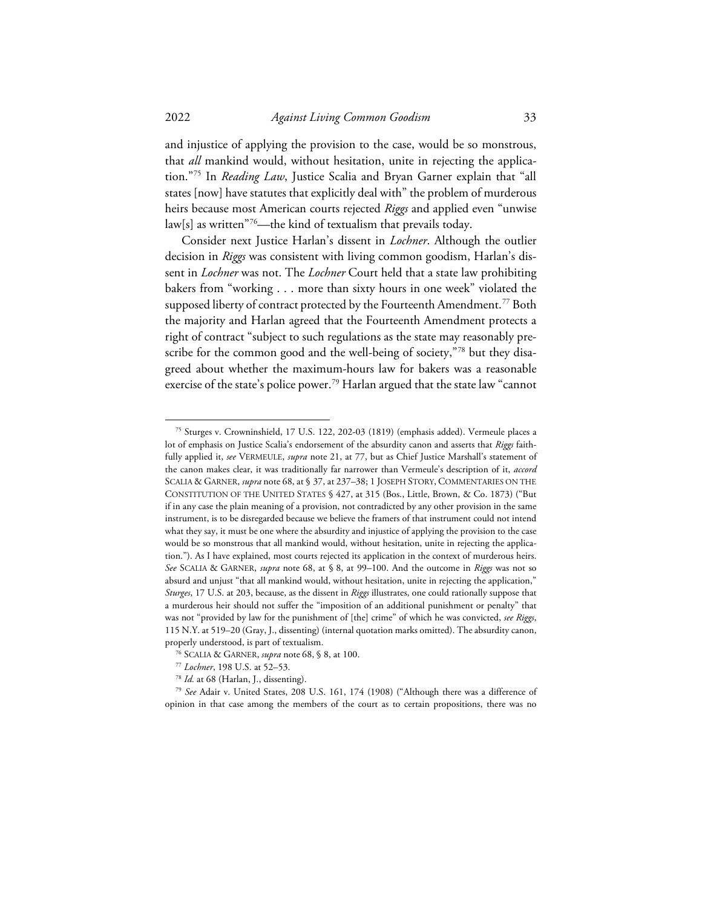and injustice of applying the provision to the case, would be so monstrous, that *all* mankind would, without hesitation, unite in rejecting the application."[75](#page-9-0) In *Reading Law*, Justice Scalia and Bryan Garner explain that "all states [now] have statutes that explicitly deal with" the problem of murderous heirs because most American courts rejected *Riggs* and applied even "unwise  $\text{law}[s]$  as written"<sup>76</sup>—the kind of textualism that prevails today.

Consider next Justice Harlan's dissent in *Lochner*. Although the outlier decision in *Riggs* was consistent with living common goodism, Harlan's dissent in *Lochner* was not. The *Lochner* Court held that a state law prohibiting bakers from "working . . . more than sixty hours in one week" violated the supposed liberty of contract protected by the Fourteenth Amendment.<sup>[77](#page-9-2)</sup> Both the majority and Harlan agreed that the Fourteenth Amendment protects a right of contract "subject to such regulations as the state may reasonably pre-scribe for the common good and the well-being of society,["78](#page-9-3) but they disagreed about whether the maximum-hours law for bakers was a reasonable exercise of the state's police power.<sup>[79](#page-9-4)</sup> Harlan argued that the state law "cannot

<span id="page-9-0"></span><sup>75</sup> Sturges v. Crowninshield, 17 U.S. 122, 202-03 (1819) (emphasis added). Vermeule places a lot of emphasis on Justice Scalia's endorsement of the absurdity canon and asserts that *Riggs* faithfully applied it, *see* VERMEULE, *supra* note 21, at 77, but as Chief Justice Marshall's statement of the canon makes clear, it was traditionally far narrower than Vermeule's description of it, *accord* SCALIA & GARNER, *supra* note 68, at § 37, at 237–38; 1 JOSEPH STORY, COMMENTARIES ON THE CONSTITUTION OF THE UNITED STATES § 427, at 315 (Bos., Little, Brown, & Co. 1873) ("But if in any case the plain meaning of a provision, not contradicted by any other provision in the same instrument, is to be disregarded because we believe the framers of that instrument could not intend what they say, it must be one where the absurdity and injustice of applying the provision to the case would be so monstrous that all mankind would, without hesitation, unite in rejecting the application."). As I have explained, most courts rejected its application in the context of murderous heirs. *See* SCALIA & GARNER, *supra* note 68, at § 8, at 99–100. And the outcome in *Riggs* was not so absurd and unjust "that all mankind would, without hesitation, unite in rejecting the application," *Sturges*, 17 U.S. at 203, because, as the dissent in *Riggs* illustrates, one could rationally suppose that a murderous heir should not suffer the "imposition of an additional punishment or penalty" that was not "provided by law for the punishment of [the] crime" of which he was convicted, *see Riggs*, 115 N.Y. at 519–20 (Gray, J., dissenting) (internal quotation marks omitted). The absurdity canon, properly understood, is part of textualism.

<sup>76</sup> SCALIA & GARNER, *supra* note 68, § 8, at 100.

<sup>77</sup> *Lochner*, 198 U.S. at 52–53.

<sup>78</sup> *Id.* at 68 (Harlan, J., dissenting).

<span id="page-9-4"></span><span id="page-9-3"></span><span id="page-9-2"></span><span id="page-9-1"></span><sup>79</sup> *See* Adair v. United States, 208 U.S. 161, 174 (1908) ("Although there was a difference of opinion in that case among the members of the court as to certain propositions, there was no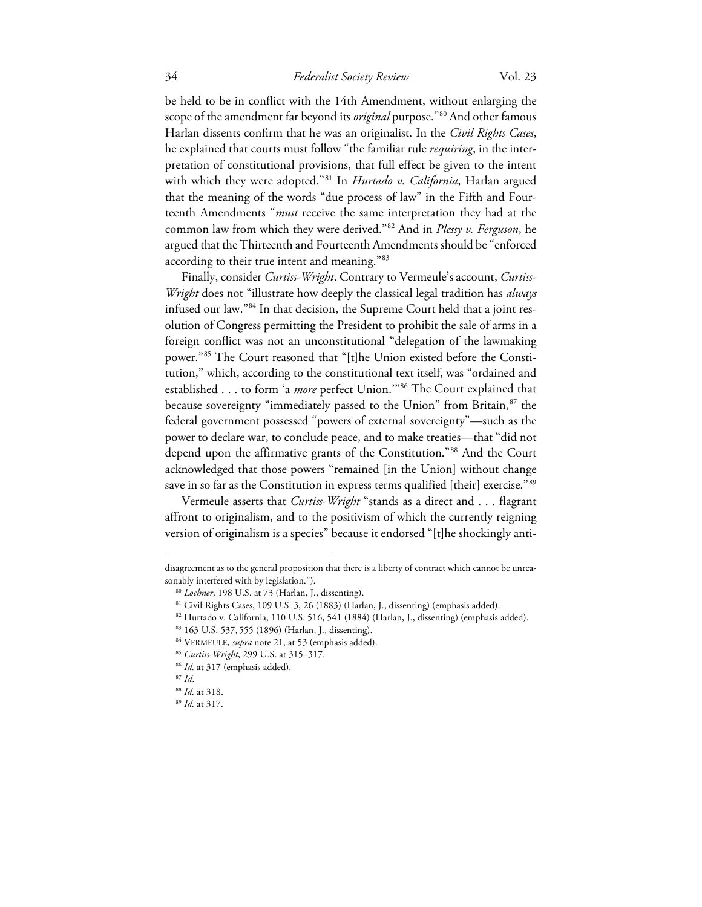## 34 *Federalist Society Review* Vol. 23

be held to be in conflict with the 14th Amendment, without enlarging the scope of the amendment far beyond its *original* purpose.["80](#page-10-0) And other famous Harlan dissents confirm that he was an originalist. In the *Civil Rights Cases*, he explained that courts must follow "the familiar rule *requiring*, in the interpretation of constitutional provisions, that full effect be given to the intent with which they were adopted."[81](#page-10-1) In *Hurtado v. California*, Harlan argued that the meaning of the words "due process of law" in the Fifth and Fourteenth Amendments "*must* receive the same interpretation they had at the common law from which they were derived."[82](#page-10-2) And in *Plessy v. Ferguson*, he argued that the Thirteenth and Fourteenth Amendments should be "enforced according to their true intent and meaning."[83](#page-10-3)

Finally, consider *Curtiss-Wright*. Contrary to Vermeule's account, *Curtiss-Wright* does not "illustrate how deeply the classical legal tradition has *always* infused our law."[84](#page-10-4) In that decision, the Supreme Court held that a joint resolution of Congress permitting the President to prohibit the sale of arms in a foreign conflict was not an unconstitutional "delegation of the lawmaking power."[85](#page-10-5) The Court reasoned that "[t]he Union existed before the Constitution," which, according to the constitutional text itself, was "ordained and established . . . to form 'a *more* perfect Union.'"[86](#page-10-6) The Court explained that because sovereignty "immediately passed to the Union" from Britain,<sup>[87](#page-10-7)</sup> the federal government possessed "powers of external sovereignty"—such as the power to declare war, to conclude peace, and to make treaties—that "did not depend upon the affirmative grants of the Constitution."[88](#page-10-8) And the Court acknowledged that those powers "remained [in the Union] without change save in so far as the Constitution in express terms qualified [their] exercise."[89](#page-10-9)

Vermeule asserts that *Curtiss-Wright* "stands as a direct and . . . flagrant affront to originalism, and to the positivism of which the currently reigning version of originalism is a species" because it endorsed "[t]he shockingly anti-

<span id="page-10-2"></span><span id="page-10-1"></span><span id="page-10-0"></span>disagreement as to the general proposition that there is a liberty of contract which cannot be unreasonably interfered with by legislation.").

<sup>80</sup> *Lochner*, 198 U.S. at 73 (Harlan, J., dissenting).

<sup>81</sup> Civil Rights Cases, 109 U.S. 3, 26 (1883) (Harlan, J., dissenting) (emphasis added).

<span id="page-10-3"></span><sup>82</sup> Hurtado v. California, 110 U.S. 516, 541 (1884) (Harlan, J., dissenting) (emphasis added).

<sup>83</sup> 163 U.S. 537, 555 (1896) (Harlan, J., dissenting).

<sup>84</sup> VERMEULE, *supra* note 21, at 53 (emphasis added).

<span id="page-10-5"></span><span id="page-10-4"></span><sup>85</sup> *Curtiss-Wright*, 299 U.S. at 315–317.

<sup>&</sup>lt;sup>86</sup> Id. at 317 (emphasis added).

<sup>87</sup> *Id*.

<span id="page-10-9"></span><span id="page-10-8"></span><span id="page-10-7"></span><span id="page-10-6"></span><sup>88</sup> *Id.* at 318.

<sup>89</sup> *Id.* at 317.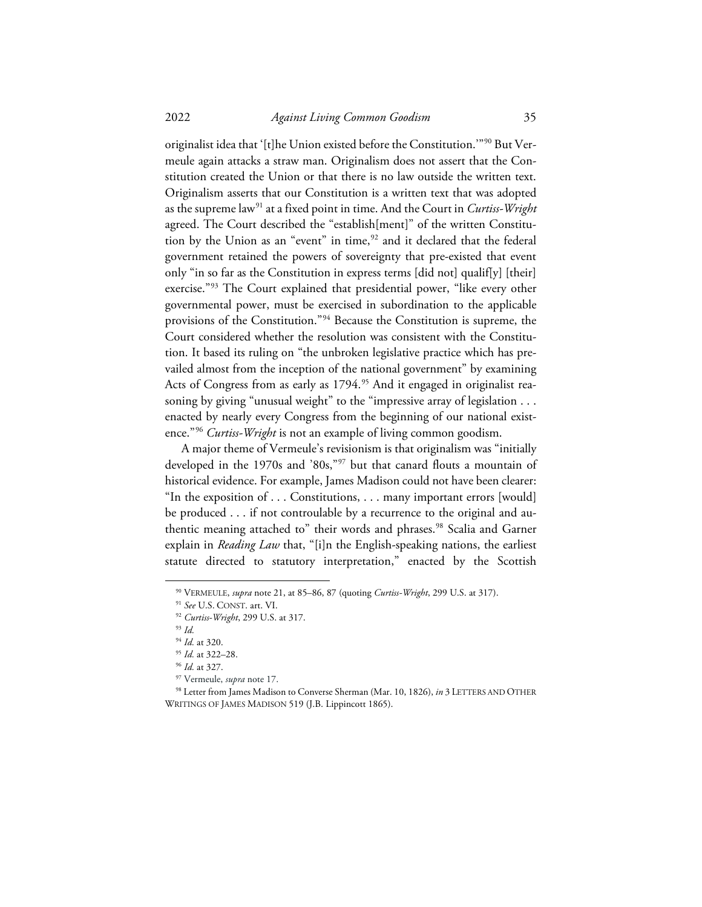2022 *Against Living Common Goodism* 35

originalist idea that '[t]he Union existed before the Constitution.'"[90](#page-11-0) But Vermeule again attacks a straw man. Originalism does not assert that the Constitution created the Union or that there is no law outside the written text. Originalism asserts that our Constitution is a written text that was adopted as the supreme law[91](#page-11-1) at a fixed point in time. And the Court in *Curtiss-Wright* agreed. The Court described the "establish[ment]" of the written Constitu-tion by the Union as an "event" in time,<sup>[92](#page-11-2)</sup> and it declared that the federal government retained the powers of sovereignty that pre-existed that event only "in so far as the Constitution in express terms [did not] qualif[y] [their] exercise."[93](#page-11-3) The Court explained that presidential power, "like every other governmental power, must be exercised in subordination to the applicable provisions of the Constitution."[94](#page-11-4) Because the Constitution is supreme, the Court considered whether the resolution was consistent with the Constitution. It based its ruling on "the unbroken legislative practice which has prevailed almost from the inception of the national government" by examining Acts of Congress from as early as 1794.<sup>95</sup> And it engaged in originalist reasoning by giving "unusual weight" to the "impressive array of legislation . . . enacted by nearly every Congress from the beginning of our national existence."[96](#page-11-6) *Curtiss-Wright* is not an example of living common goodism.

A major theme of Vermeule's revisionism is that originalism was "initially developed in the 1970s and '80s,"[97](#page-11-7) but that canard flouts a mountain of historical evidence. For example, James Madison could not have been clearer: "In the exposition of . . . Constitutions, . . . many important errors [would] be produced . . . if not controulable by a recurrence to the original and au-thentic meaning attached to" their words and phrases.<sup>[98](#page-11-8)</sup> Scalia and Garner explain in *Reading Law* that, "[i]n the English-speaking nations, the earliest statute directed to statutory interpretation," enacted by the Scottish

<span id="page-11-1"></span><span id="page-11-0"></span><sup>90</sup> VERMEULE, *supra* note 21, at 85–86, 87 (quoting *Curtiss-Wright*, 299 U.S. at 317).

<sup>91</sup> *See* U.S. CONST. art. VI.

<span id="page-11-2"></span><sup>92</sup> *Curtiss-Wright*, 299 U.S. at 317.

<span id="page-11-3"></span><sup>93</sup> *Id.*

<sup>94</sup> *Id.* at 320. 95 *Id.* at 322–28.

<sup>96</sup> *Id.* at 327.

<sup>97</sup> Vermeule, *supra* note 17.

<span id="page-11-8"></span><span id="page-11-7"></span><span id="page-11-6"></span><span id="page-11-5"></span><span id="page-11-4"></span><sup>98</sup> Letter from James Madison to Converse Sherman (Mar. 10, 1826), *in* 3 LETTERS AND OTHER WRITINGS OF JAMES MADISON 519 (J.B. Lippincott 1865).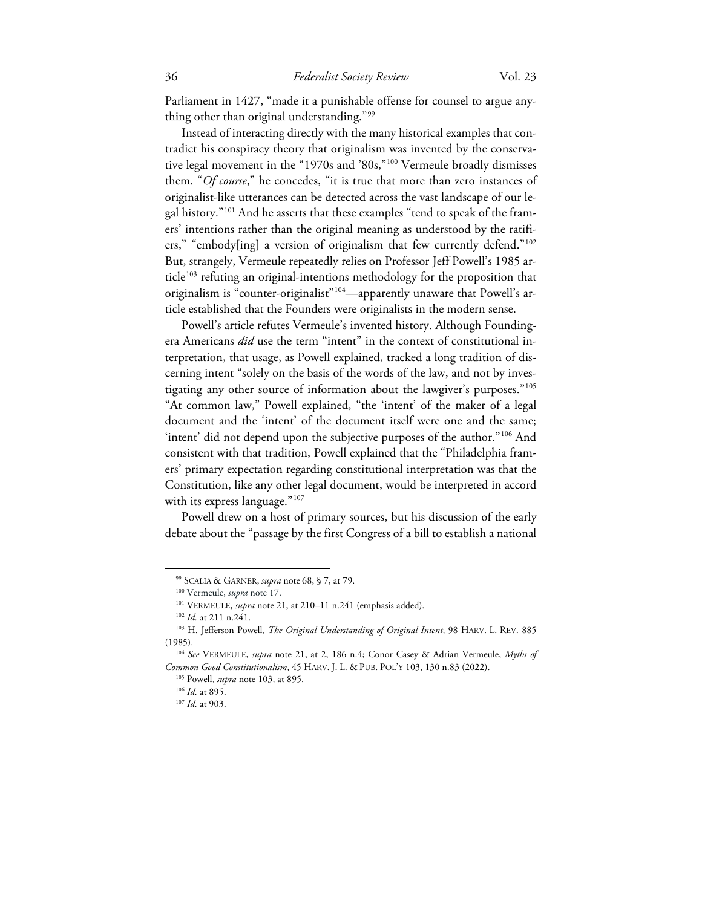Parliament in 1427, "made it a punishable offense for counsel to argue anything other than original understanding."[99](#page-12-0)

Instead of interacting directly with the many historical examples that contradict his conspiracy theory that originalism was invented by the conservative legal movement in the "1970s and '80s,["100](#page-12-1) Vermeule broadly dismisses them. "*Of course*," he concedes, "it is true that more than zero instances of originalist-like utterances can be detected across the vast landscape of our legal history."[101](#page-12-2) And he asserts that these examples "tend to speak of the framers' intentions rather than the original meaning as understood by the ratifiers," "embody[ing] a version of originalism that few currently defend."[102](#page-12-3) But, strangely, Vermeule repeatedly relies on Professor Jeff Powell's 1985 ar-ticle<sup>[103](#page-12-4)</sup> refuting an original-intentions methodology for the proposition that originalism is "counter-originalist"<sup>[104](#page-12-5)</sup>—apparently unaware that Powell's article established that the Founders were originalists in the modern sense.

Powell's article refutes Vermeule's invented history. Although Foundingera Americans *did* use the term "intent" in the context of constitutional interpretation, that usage, as Powell explained, tracked a long tradition of discerning intent "solely on the basis of the words of the law, and not by inves-tigating any other source of information about the lawgiver's purposes."<sup>[105](#page-12-6)</sup> "At common law," Powell explained, "the 'intent' of the maker of a legal document and the 'intent' of the document itself were one and the same; 'intent' did not depend upon the subjective purposes of the author."[106](#page-12-7) And consistent with that tradition, Powell explained that the "Philadelphia framers' primary expectation regarding constitutional interpretation was that the Constitution, like any other legal document, would be interpreted in accord with its express language."<sup>[107](#page-12-8)</sup>

Powell drew on a host of primary sources, but his discussion of the early debate about the "passage by the first Congress of a bill to establish a national

<sup>99</sup> SCALIA & GARNER, *supra* note 68, § 7, at 79.

<sup>&</sup>lt;sup>100</sup> Vermeule, *supra* note 17.<br><sup>101</sup> VERMEULE, *supra* note 21, at 210–11 n.241 (emphasis added).

<span id="page-12-4"></span><span id="page-12-3"></span><span id="page-12-2"></span><span id="page-12-1"></span><span id="page-12-0"></span><sup>&</sup>lt;sup>102</sup> Id. at 211 n.241.<br><sup>103</sup> H. Jefferson Powell, *The Original Understanding of Original Intent*, 98 HARV. L. REV. 885 (1985).

<span id="page-12-8"></span><span id="page-12-7"></span><span id="page-12-6"></span><span id="page-12-5"></span><sup>104</sup> *See* VERMEULE, *supra* note 21, at 2, 186 n.4; Conor Casey & Adrian Vermeule, *Myths of Common Good Constitutionalism*, 45 HARV. J. L. & PUB. POL'Y 103, 130 n.83 (2022).

<sup>105</sup> Powell, *supra* note 103, at 895.

<sup>106</sup> *Id.* at 895.

<sup>107</sup> *Id.* at 903.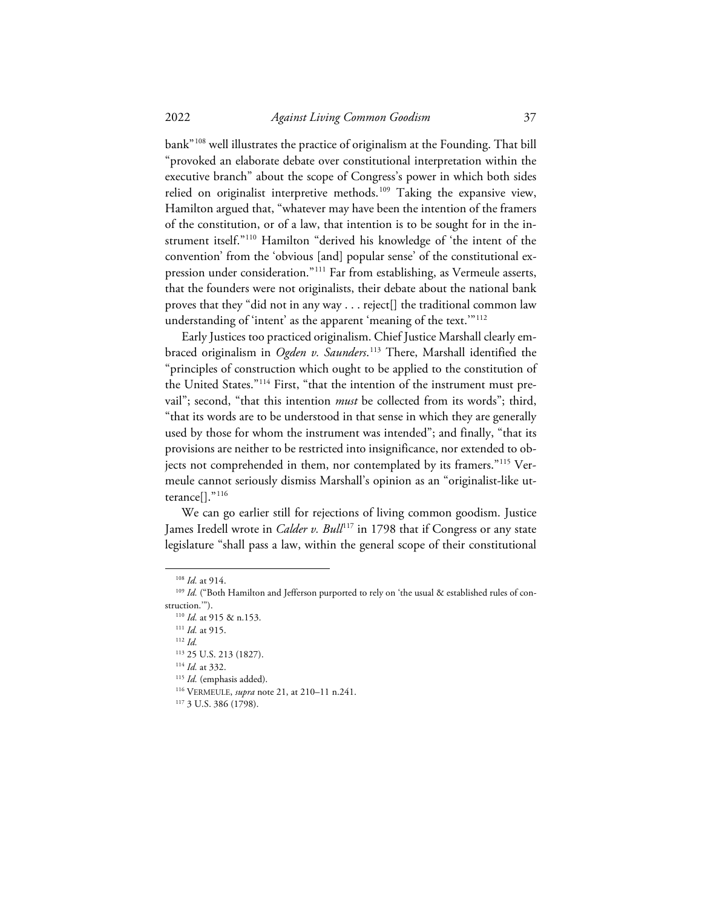bank"[108](#page-13-0) well illustrates the practice of originalism at the Founding. That bill "provoked an elaborate debate over constitutional interpretation within the executive branch" about the scope of Congress's power in which both sides relied on originalist interpretive methods.<sup>[109](#page-13-1)</sup> Taking the expansive view, Hamilton argued that, "whatever may have been the intention of the framers of the constitution, or of a law, that intention is to be sought for in the instrument itself."[110](#page-13-2) Hamilton "derived his knowledge of 'the intent of the convention' from the 'obvious [and] popular sense' of the constitutional expression under consideration."[111](#page-13-3) Far from establishing, as Vermeule asserts, that the founders were not originalists, their debate about the national bank proves that they "did not in any way . . . reject[] the traditional common law understanding of 'intent' as the apparent 'meaning of the text."<sup>[112](#page-13-4)</sup>

Early Justices too practiced originalism. Chief Justice Marshall clearly embraced originalism in *Ogden v. Saunders*. [113](#page-13-5) There, Marshall identified the "principles of construction which ought to be applied to the constitution of the United States."<sup>[114](#page-13-6)</sup> First, "that the intention of the instrument must prevail"; second, "that this intention *must* be collected from its words"; third, "that its words are to be understood in that sense in which they are generally used by those for whom the instrument was intended"; and finally, "that its provisions are neither to be restricted into insignificance, nor extended to objects not comprehended in them, nor contemplated by its framers."[115](#page-13-7) Vermeule cannot seriously dismiss Marshall's opinion as an "originalist-like utterance[]."[116](#page-13-8)

We can go earlier still for rejections of living common goodism. Justice James Iredell wrote in *Calder v. Bull*<sup>[117](#page-13-9)</sup> in 1798 that if Congress or any state legislature "shall pass a law, within the general scope of their constitutional

<sup>108</sup> *Id.* at 914.

<span id="page-13-4"></span><span id="page-13-3"></span><span id="page-13-2"></span><span id="page-13-1"></span><span id="page-13-0"></span><sup>&</sup>lt;sup>109</sup> Id. ("Both Hamilton and Jefferson purported to rely on 'the usual & established rules of construction.'").

<sup>110</sup> *Id.* at 915 & n.153.

<sup>111</sup> *Id.* at 915.

<sup>112</sup> *Id.*

<span id="page-13-5"></span><sup>113</sup> 25 U.S. 213 (1827).

<span id="page-13-6"></span><sup>114</sup> *Id.* at 332.

<sup>115</sup> *Id.* (emphasis added).

<span id="page-13-9"></span><span id="page-13-8"></span><span id="page-13-7"></span><sup>116</sup> VERMEULE, *supra* note 21, at 210–11 n.241.

<sup>117</sup> 3 U.S. 386 (1798).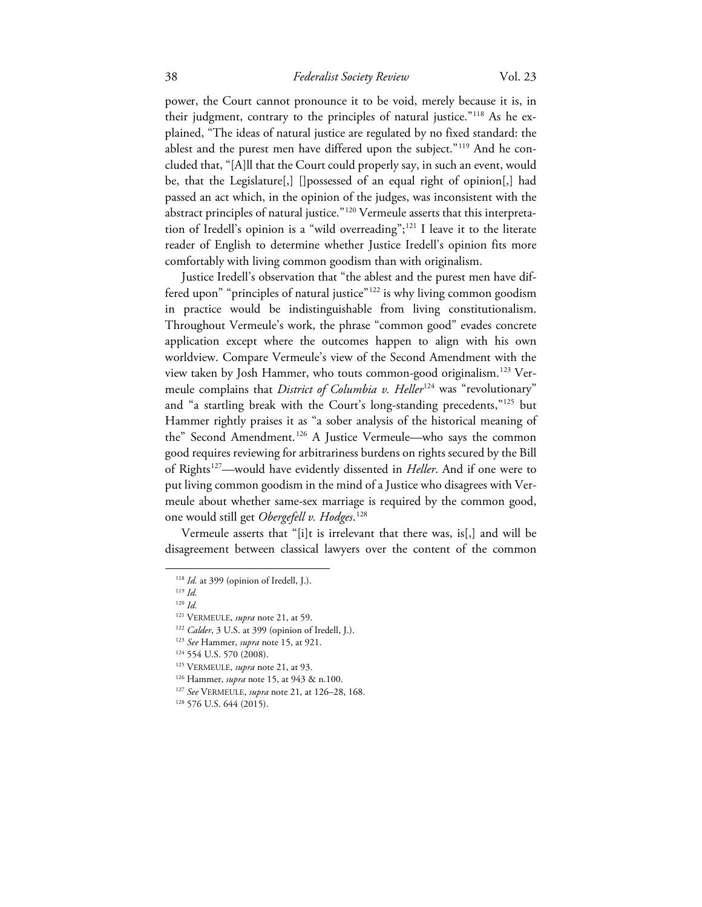power, the Court cannot pronounce it to be void, merely because it is, in their judgment, contrary to the principles of natural justice."[118](#page-14-0) As he explained, "The ideas of natural justice are regulated by no fixed standard: the ablest and the purest men have differed upon the subject."[119](#page-14-1) And he concluded that, "[A]ll that the Court could properly say, in such an event, would be, that the Legislature[,] []possessed of an equal right of opinion[,] had passed an act which, in the opinion of the judges, was inconsistent with the abstract principles of natural justice."<sup>[120](#page-14-2)</sup> Vermeule asserts that this interpretation of Iredell's opinion is a "wild overreading";[121](#page-14-3) I leave it to the literate reader of English to determine whether Justice Iredell's opinion fits more comfortably with living common goodism than with originalism.

Justice Iredell's observation that "the ablest and the purest men have differed upon" "principles of natural justice"[122](#page-14-4) is why living common goodism in practice would be indistinguishable from living constitutionalism. Throughout Vermeule's work, the phrase "common good" evades concrete application except where the outcomes happen to align with his own worldview. Compare Vermeule's view of the Second Amendment with the view taken by Josh Hammer, who touts common-good originalism.[123](#page-14-5) Vermeule complains that *District of Columbia v. Heller*<sup>[124](#page-14-6)</sup> was "revolutionary" and "a startling break with the Court's long-standing precedents,"[125](#page-14-7) but Hammer rightly praises it as "a sober analysis of the historical meaning of the" Second Amendment.<sup>[126](#page-14-8)</sup> A Justice Vermeule—who says the common good requires reviewing for arbitrariness burdens on rights secured by the Bill of Rights[127—](#page-14-9)would have evidently dissented in *Heller*. And if one were to put living common goodism in the mind of a Justice who disagrees with Vermeule about whether same-sex marriage is required by the common good, one would still get *Obergefell v. Hodges*. [128](#page-14-10)

<span id="page-14-0"></span>Vermeule asserts that "[i]t is irrelevant that there was, is[,] and will be disagreement between classical lawyers over the content of the common

<sup>&</sup>lt;sup>118</sup> *Id.* at 399 (opinion of Iredell, J.).

<span id="page-14-2"></span><span id="page-14-1"></span><sup>119</sup> *Id.*

<sup>120</sup> *Id.*

<span id="page-14-3"></span><sup>121</sup> VERMEULE, *supra* note 21, at 59.

<span id="page-14-4"></span><sup>&</sup>lt;sup>122</sup> *Calder*, 3 U.S. at 399 (opinion of Iredell, J.).

<span id="page-14-5"></span><sup>123</sup> *See* Hammer, *supra* note 15, at 921.

<span id="page-14-6"></span><sup>124 554</sup> U.S. 570 (2008).

<span id="page-14-7"></span><sup>125</sup> VERMEULE, *supra* note 21, at 93.

<span id="page-14-8"></span><sup>126</sup> Hammer, *supra* note 15, at 943 & n.100.

<span id="page-14-9"></span><sup>127</sup> *See* VERMEULE, *supra* note 21, at 126–28, 168.

<span id="page-14-10"></span><sup>128</sup> 576 U.S. 644 (2015).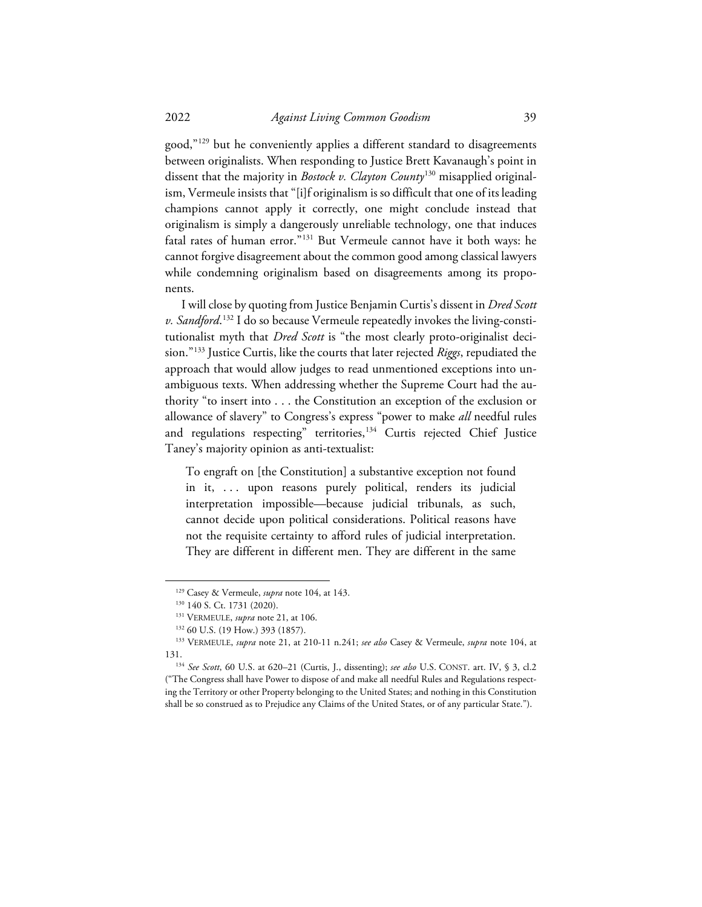good,"<sup>[129](#page-15-0)</sup> but he conveniently applies a different standard to disagreements between originalists. When responding to Justice Brett Kavanaugh's point in dissent that the majority in *Bostock v. Clayton County*[130](#page-15-1) misapplied originalism, Vermeule insists that "[i]f originalism is so difficult that one of its leading champions cannot apply it correctly, one might conclude instead that originalism is simply a dangerously unreliable technology, one that induces fatal rates of human error."[131](#page-15-2) But Vermeule cannot have it both ways: he cannot forgive disagreement about the common good among classical lawyers while condemning originalism based on disagreements among its proponents.

I will close by quoting from Justice Benjamin Curtis's dissent in *Dred Scott v. Sandford*. [132](#page-15-3) I do so because Vermeule repeatedly invokes the living-constitutionalist myth that *Dred Scott* is "the most clearly proto-originalist decision."[133](#page-15-4) Justice Curtis, like the courts that later rejected *Riggs*, repudiated the approach that would allow judges to read unmentioned exceptions into unambiguous texts. When addressing whether the Supreme Court had the authority "to insert into . . . the Constitution an exception of the exclusion or allowance of slavery" to Congress's express "power to make *all* needful rules and regulations respecting" territories,<sup>[134](#page-15-5)</sup> Curtis rejected Chief Justice Taney's majority opinion as anti-textualist:

To engraft on [the Constitution] a substantive exception not found in it, ... upon reasons purely political, renders its judicial interpretation impossible—because judicial tribunals, as such, cannot decide upon political considerations. Political reasons have not the requisite certainty to afford rules of judicial interpretation. They are different in different men. They are different in the same

<sup>&</sup>lt;sup>129</sup> Casey & Vermeule, *supra* note 104, at 143.<br><sup>130</sup> 140 S. Ct. 1731 (2020).

<sup>&</sup>lt;sup>131</sup> VERMEULE, *supra* note 21, at 106.

<sup>132</sup> 60 U.S. (19 How.) 393 (1857).

<span id="page-15-4"></span><span id="page-15-3"></span><span id="page-15-2"></span><span id="page-15-1"></span><span id="page-15-0"></span><sup>133</sup> VERMEULE, *supra* note 21, at 210-11 n.241; *see also* Casey & Vermeule, *supra* note 104, at 131.

<span id="page-15-5"></span><sup>134</sup> *See Scott*, 60 U.S. at 620–21 (Curtis, J., dissenting); *see also* U.S. CONST. art. IV, § 3, cl.2 ("The Congress shall have Power to dispose of and make all needful Rules and Regulations respecting the Territory or other Property belonging to the United States; and nothing in this Constitution shall be so construed as to Prejudice any Claims of the United States, or of any particular State.").